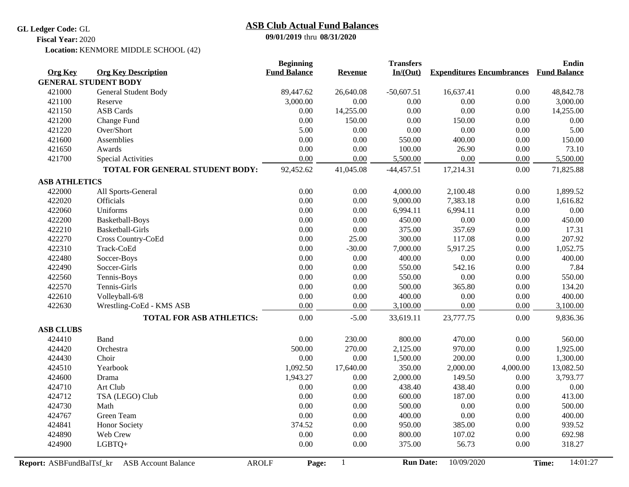**GL Ledger Code:** GL

## **09/01/2019** thru **08/31/2020 ASB Club Actual Fund Balances**

**Fiscal Year:** 2020

Location: KENMORE MIDDLE SCHOOL (42)

|                          |                                            | <b>Beginning</b>    |           | <b>Transfers</b> |                                  |          | <b>Endin</b>        |
|--------------------------|--------------------------------------------|---------------------|-----------|------------------|----------------------------------|----------|---------------------|
| <b>Org Key</b>           | <b>Org Key Description</b>                 | <b>Fund Balance</b> | Revenue   | In/(Out)         | <b>Expenditures Encumbrances</b> |          | <b>Fund Balance</b> |
|                          | <b>GENERAL STUDENT BODY</b>                |                     |           |                  |                                  |          |                     |
| 421000                   | General Student Body                       | 89,447.62           | 26,640.08 | $-50,607.51$     | 16,637.41                        | 0.00     | 48,842.78           |
| 421100                   | Reserve                                    | 3,000.00            | 0.00      | 0.00             | 0.00                             | 0.00     | 3,000.00            |
| 421150                   | <b>ASB</b> Cards                           | $0.00\,$            | 14,255.00 | 0.00             | 0.00                             | 0.00     | 14,255.00           |
| 421200                   | Change Fund                                | $0.00\,$            | 150.00    | $0.00\,$         | 150.00                           | 0.00     | $0.00\,$            |
| 421220                   | Over/Short                                 | 5.00                | 0.00      | 0.00             | 0.00                             | 0.00     | 5.00                |
| 421600                   | Assemblies                                 | 0.00                | 0.00      | 550.00           | 400.00                           | 0.00     | 150.00              |
| 421650                   | Awards                                     | $0.00\,$            | 0.00      | 100.00           | 26.90                            | 0.00     | 73.10               |
| 421700                   | Special Activities                         | 0.00                | 0.00      | 5,500.00         | 0.00                             | 0.00     | 5,500.00            |
|                          | TOTAL FOR GENERAL STUDENT BODY:            | 92,452.62           | 41,045.08 | $-44,457.51$     | 17,214.31                        | 0.00     | 71,825.88           |
| <b>ASB ATHLETICS</b>     |                                            |                     |           |                  |                                  |          |                     |
| 422000                   | All Sports-General                         | $0.00\,$            | 0.00      | 4,000.00         | 2,100.48                         | 0.00     | 1,899.52            |
| 422020                   | Officials                                  | $0.00\,$            | 0.00      | 9,000.00         | 7,383.18                         | 0.00     | 1,616.82            |
| 422060                   | Uniforms                                   | $0.00\,$            | 0.00      | 6,994.11         | 6,994.11                         | 0.00     | $0.00\,$            |
| 422200                   | Basketball-Boys                            | $0.00\,$            | 0.00      | 450.00           | 0.00                             | 0.00     | 450.00              |
| 422210                   | Basketball-Girls                           | $0.00\,$            | 0.00      | 375.00           | 357.69                           | 0.00     | 17.31               |
| 422270                   | Cross Country-CoEd                         | $0.00\,$            | 25.00     | 300.00           | 117.08                           | 0.00     | 207.92              |
| 422310                   | Track-CoEd                                 | $0.00\,$            | $-30.00$  | 7,000.00         | 5,917.25                         | 0.00     | 1,052.75            |
| 422480                   | Soccer-Boys                                | $0.00\,$            | 0.00      | 400.00           | 0.00                             | 0.00     | 400.00              |
| 422490                   | Soccer-Girls                               | $0.00\,$            | 0.00      | 550.00           | 542.16                           | 0.00     | 7.84                |
| 422560                   | Tennis-Boys                                | $0.00\,$            | 0.00      | 550.00           | 0.00                             | 0.00     | 550.00              |
| 422570                   | Tennis-Girls                               | 0.00                | 0.00      | 500.00           | 365.80                           | 0.00     | 134.20              |
| 422610                   | Volleyball-6/8                             | $0.00\,$            | 0.00      | 400.00           | 0.00                             | $0.00\,$ | 400.00              |
| 422630                   | Wrestling-CoEd - KMS ASB                   | 0.00                | 0.00      | 3,100.00         | 0.00                             | 0.00     | 3,100.00            |
|                          | <b>TOTAL FOR ASB ATHLETICS:</b>            | 0.00                | $-5.00$   | 33,619.11        | 23,777.75                        | 0.00     | 9,836.36            |
| <b>ASB CLUBS</b>         |                                            |                     |           |                  |                                  |          |                     |
| 424410                   | Band                                       | 0.00                | 230.00    | 800.00           | 470.00                           | 0.00     | 560.00              |
| 424420                   | Orchestra                                  | 500.00              | 270.00    | 2,125.00         | 970.00                           | 0.00     | 1,925.00            |
| 424430                   | Choir                                      | 0.00                | 0.00      | 1,500.00         | 200.00                           | 0.00     | 1,300.00            |
| 424510                   | Yearbook                                   | 1,092.50            | 17,640.00 | 350.00           | 2,000.00                         | 4,000.00 | 13,082.50           |
| 424600                   | Drama                                      | 1,943.27            | $0.00\,$  | 2,000.00         | 149.50                           | 0.00     | 3,793.77            |
| 424710                   | Art Club                                   | 0.00                | 0.00      | 438.40           | 438.40                           | 0.00     | 0.00                |
| 424712                   | TSA (LEGO) Club                            | $0.00\,$            | 0.00      | 600.00           | 187.00                           | 0.00     | 413.00              |
| 424730                   | Math                                       | 0.00                | 0.00      | 500.00           | 0.00                             | 0.00     | 500.00              |
| 424767                   | Green Team                                 | $0.00\,$            | 0.00      | 400.00           | 0.00                             | 0.00     | 400.00              |
| 424841                   | <b>Honor Society</b>                       | 374.52              | 0.00      | 950.00           | 385.00                           | 0.00     | 939.52              |
| 424890                   | Web Crew                                   | 0.00                | 0.00      | 800.00           | 107.02                           | 0.00     | 692.98              |
| 424900                   | LGBTQ+                                     | 0.00                | 0.00      | 375.00           | 56.73                            | 0.00     | 318.27              |
| Report: ASBFundBalTsf_kr | <b>AROLF</b><br><b>ASB</b> Account Balance | Page:               | 1         | <b>Run Date:</b> | 10/09/2020                       |          | 14:01:27<br>Time:   |